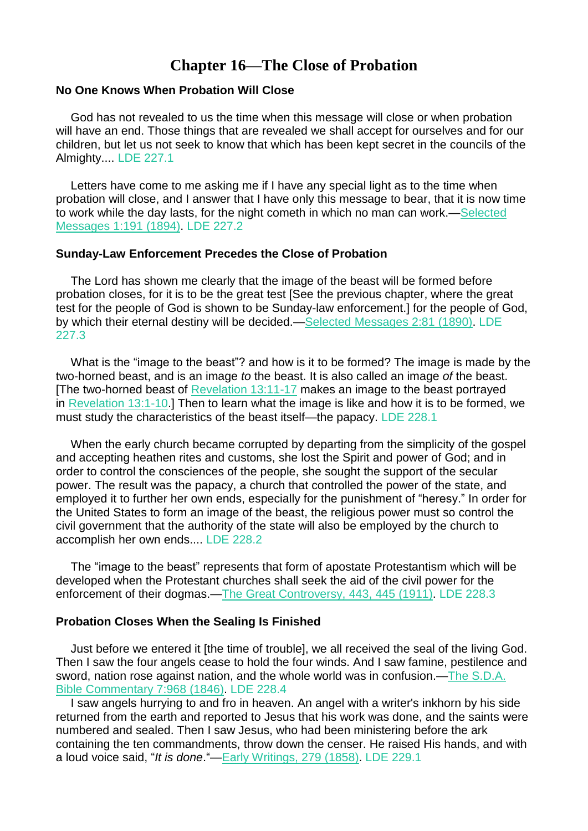# **Chapter 16—The Close of Probation**

### **No One Knows When Probation Will Close**

God has not revealed to us the time when this message will close or when probation will have an end. Those things that are revealed we shall accept for ourselves and for our children, but let us not seek to know that which has been kept secret in the councils of the Almighty.... LDE 227.1

Letters have come to me asking me if I have any special light as to the time when probation will close, and I answer that I have only this message to bear, that it is now time to work while the day lasts, for the night cometh in which no man can work.[—Selected](https://m.egwwritings.org/en/book/98.1173#1173) [Messages](https://m.egwwritings.org/en/book/98.1173#1173) 1:191 (1894). LDE 227.2

### **Sunday-Law Enforcement Precedes the Close of Probation**

The Lord has shown me clearly that the image of the beast will be formed before probation closes, for it is to be the great test [See the previous chapter, where the great test for the people of God is shown to be Sunday-law enforcement.] for the people of God, by which their eternal destiny will be decided.—Selected [Messages](https://m.egwwritings.org/en/book/99.458#458) 2:81 (1890). LDE 227.3

What is the "image to the beast"? and how is it to be formed? The image is made by the two-horned beast, and is an image *to* the beast. It is also called an image *of* the beast. [The two-horned beast of [Revelation](https://m.egwwritings.org/en/book/1965.63087#63087) 13:11-17 makes an image to the beast portrayed in [Revelation](https://m.egwwritings.org/en/book/1965.63067#63067) 13:1-10.] Then to learn what the image is like and how it is to be formed, we must study the characteristics of the beast itself—the papacy. LDE 228.1

When the early church became corrupted by departing from the simplicity of the gospel and accepting heathen rites and customs, she lost the Spirit and power of God; and in order to control the consciences of the people, she sought the support of the secular power. The result was the papacy, a church that controlled the power of the state, and employed it to further her own ends, especially for the punishment of "heresy." In order for the United States to form an image of the beast, the religious power must so control the civil government that the authority of the state will also be employed by the church to accomplish her own ends.... LDE 228.2

The "image to the beast" represents that form of apostate Protestantism which will be developed when the Protestant churches shall seek the aid of the civil power for the enforcement of their dogmas.—The Great [Controversy,](https://m.egwwritings.org/en/book/132.2003#2003) 443, 445 (1911). LDE 228.3

### **Probation Closes When the Sealing Is Finished**

Just before we entered it [the time of trouble], we all received the seal of the living God. Then I saw the four angels cease to hold the four winds. And I saw famine, pestilence and sword, nation rose against nation, and the whole world was in confusion.—The [S.D.A.](https://m.egwwritings.org/en/book/96.883#883) Bible [Commentary](https://m.egwwritings.org/en/book/96.883#883) 7:968 (1846). LDE 228.4

I saw angels hurrying to and fro in heaven. An angel with a writer's inkhorn by his side returned from the earth and reported to Jesus that his work was done, and the saints were numbered and sealed. Then I saw Jesus, who had been ministering before the ark containing the ten commandments, throw down the censer. He raised His hands, and with a loud voice said, "*It is done*."—Early [Writings,](https://m.egwwritings.org/en/book/28.1357#1357) 279 (1858). LDE 229.1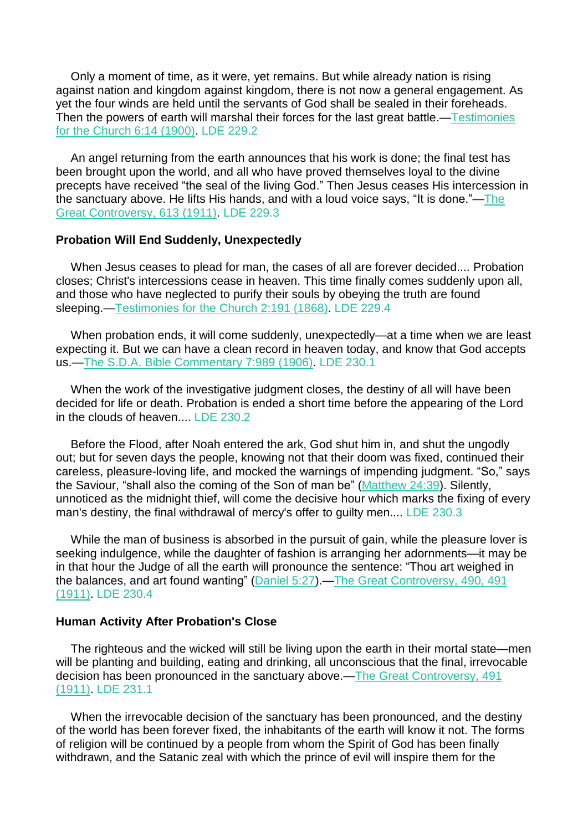Only a moment of time, as it were, yet remains. But while already nation is rising against nation and kingdom against kingdom, there is not now a general engagement. As yet the four winds are held until the servants of God shall be sealed in their foreheads. Then the powers of earth will marshal their forces for the last great battle.[—Testimonies](https://m.egwwritings.org/en/book/118.63#63) for the [Church](https://m.egwwritings.org/en/book/118.63#63) 6:14 (1900). LDE 229.2

An angel returning from the earth announces that his work is done; the final test has been brought upon the world, and all who have proved themselves loyal to the divine precepts have received "the seal of the living God." Then Jesus ceases His intercession in the sanctuary above. He lifts His hands, and with a loud voice says, "It is done."[—The](https://m.egwwritings.org/en/book/132.2770#2770) Great [Controversy,](https://m.egwwritings.org/en/book/132.2770#2770) 613 (1911). LDE 229.3

### **Probation Will End Suddenly, Unexpectedly**

When Jesus ceases to plead for man, the cases of all are forever decided.... Probation closes; Christ's intercessions cease in heaven. This time finally comes suddenly upon all, and those who have neglected to purify their souls by obeying the truth are found sleeping.[—Testimonies](https://m.egwwritings.org/en/book/120.800#800) for the Church 2:191 (1868). LDE 229.4

When probation ends, it will come suddenly, unexpectedly—at a time when we are least expecting it. But we can have a clean record in heaven today, and know that God accepts us.—The S.D.A. Bible [Commentary](https://m.egwwritings.org/en/book/96.1150#1150) 7:989 (1906). LDE 230.1

When the work of the investigative judgment closes, the destiny of all will have been decided for life or death. Probation is ended a short time before the appearing of the Lord in the clouds of heaven.... LDE 230.2

Before the Flood, after Noah entered the ark, God shut him in, and shut the ungodly out; but for seven days the people, knowing not that their doom was fixed, continued their careless, pleasure-loving life, and mocked the warnings of impending judgment. "So," says the Saviour, "shall also the coming of the Son of man be" [\(Matthew](https://m.egwwritings.org/en/book/1965.48988#48988) 24:39). Silently, unnoticed as the midnight thief, will come the decisive hour which marks the fixing of every man's destiny, the final withdrawal of mercy's offer to guilty men.... LDE 230.3

While the man of business is absorbed in the pursuit of gain, while the pleasure lover is seeking indulgence, while the daughter of fashion is arranging her adornments—it may be in that hour the Judge of all the earth will pronounce the sentence: "Thou art weighed in the balances, and art found wanting" [\(Daniel](https://m.egwwritings.org/en/book/1965.44687#44687) 5:27).—The Great [Controversy,](https://m.egwwritings.org/en/book/132.2220#2220) 490, 491 [\(1911\).](https://m.egwwritings.org/en/book/132.2220#2220) LDE 230.4

### **Human Activity After Probation's Close**

The righteous and the wicked will still be living upon the earth in their mortal state—men will be planting and building, eating and drinking, all unconscious that the final, irrevocable decision has been pronounced in the sanctuary above.—The Great [Controversy,](https://m.egwwritings.org/en/book/132.2224#2224) 491 [\(1911\).](https://m.egwwritings.org/en/book/132.2224#2224) LDE 231.1

When the irrevocable decision of the sanctuary has been pronounced, and the destiny of the world has been forever fixed, the inhabitants of the earth will know it not. The forms of religion will be continued by a people from whom the Spirit of God has been finally withdrawn, and the Satanic zeal with which the prince of evil will inspire them for the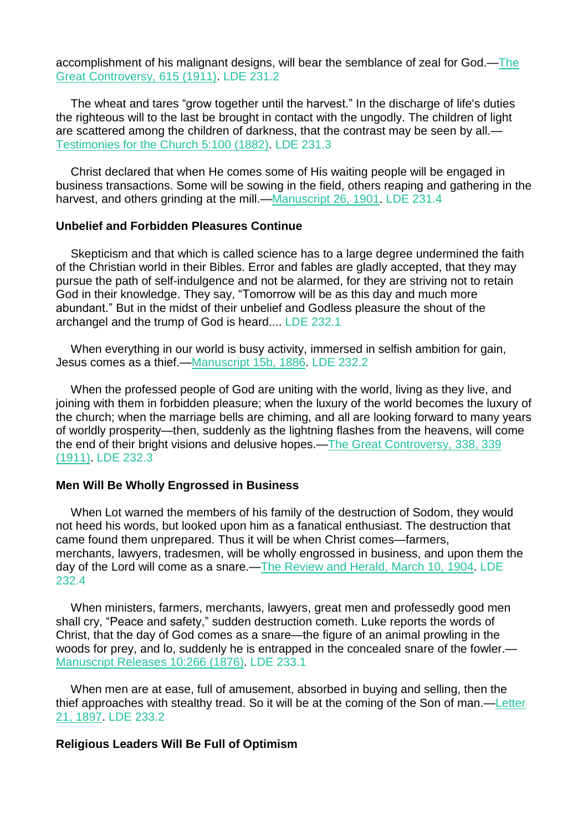accomplishment of his malignant designs, will bear the semblance of zeal for God.[—The](https://m.egwwritings.org/en/book/132.2779#2779) Great [Controversy,](https://m.egwwritings.org/en/book/132.2779#2779) 615 (1911). LDE 231.2

The wheat and tares "grow together until the harvest." In the discharge of life's duties the righteous will to the last be brought in contact with the ungodly. The children of light are scattered among the children of darkness, that the contrast may be seen by all.— [Testimonies](https://m.egwwritings.org/en/book/113.501#501) for the Church 5:100 (1882). LDE 231.3

Christ declared that when He comes some of His waiting people will be engaged in business transactions. Some will be sowing in the field, others reaping and gathering in the harvest, and others grinding at the mill.[—Manuscript](https://m.egwwritings.org/en/book/14066.10384001#10384001) 26, 1901. LDE 231.4

### **Unbelief and Forbidden Pleasures Continue**

Skepticism and that which is called science has to a large degree undermined the faith of the Christian world in their Bibles. Error and fables are gladly accepted, that they may pursue the path of self-indulgence and not be alarmed, for they are striving not to retain God in their knowledge. They say, "Tomorrow will be as this day and much more abundant." But in the midst of their unbelief and Godless pleasure the shout of the archangel and the trump of God is heard.... LDE 232.1

When everything in our world is busy activity, immersed in selfish ambition for gain, Jesus comes as a thief.[—Manuscript](https://m.egwwritings.org/en/book/14054.4525001#4525001) 15b, 1886. LDE 232.2

When the professed people of God are uniting with the world, living as they live, and joining with them in forbidden pleasure; when the luxury of the world becomes the luxury of the church; when the marriage bells are chiming, and all are looking forward to many years of worldly prosperity—then, suddenly as the lightning flashes from the heavens, will come the end of their bright visions and delusive hopes.—The Great [Controversy,](https://m.egwwritings.org/en/book/132.1544#1544) 338, 339 [\(1911\).](https://m.egwwritings.org/en/book/132.1544#1544) LDE 232.3

# **Men Will Be Wholly Engrossed in Business**

When Lot warned the members of his family of the destruction of Sodom, they would not heed his words, but looked upon him as a fanatical enthusiast. The destruction that came found them unprepared. Thus it will be when Christ comes—farmers, merchants, lawyers, tradesmen, will be wholly engrossed in business, and upon them the day of the Lord will come as a snare.—The [Review](https://m.egwwritings.org/en/book/821.23975#23975) and Herald, March 10, 1904. LDE 232.4

When ministers, farmers, merchants, lawyers, great men and professedly good men shall cry, "Peace and safety," sudden destruction cometh. Luke reports the words of Christ, that the day of God comes as a snare—the figure of an animal prowling in the woods for prey, and lo, suddenly he is entrapped in the concealed snare of the fowler.— [Manuscript](https://m.egwwritings.org/en/book/66.1287#1287) Releases 10:266 (1876). LDE 233.1

When men are at ease, full of amusement, absorbed in buying and selling, then the thief approaches with stealthy tread. So it will be at the coming of the Son of man.[—Letter](https://m.egwwritings.org/en/book/14062.5037001#5037001) 21, [1897.](https://m.egwwritings.org/en/book/14062.5037001#5037001) LDE 233.2

### **Religious Leaders Will Be Full of Optimism**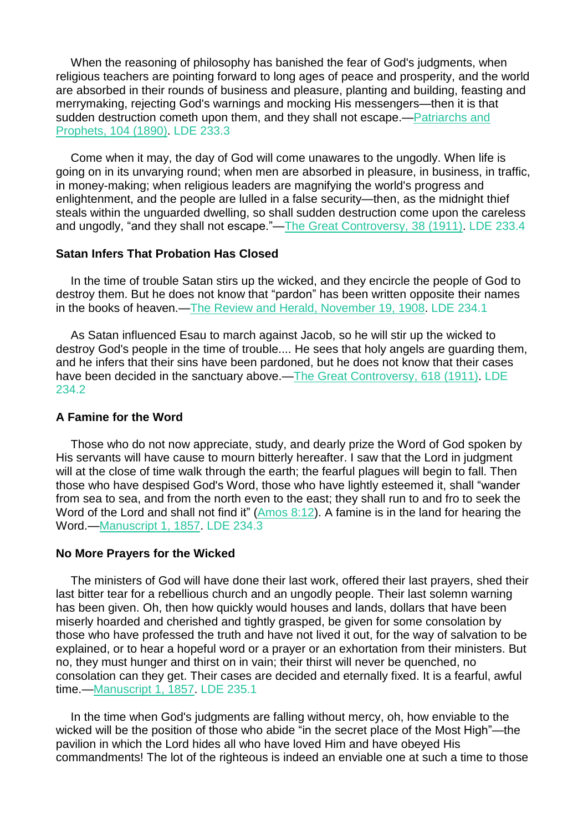When the reasoning of philosophy has banished the fear of God's judgments, when religious teachers are pointing forward to long ages of peace and prosperity, and the world are absorbed in their rounds of business and pleasure, planting and building, feasting and merrymaking, rejecting God's warnings and mocking His messengers—then it is that sudden destruction cometh upon them, and they shall not escape.[—Patriarchs](https://m.egwwritings.org/en/book/84.395#395) and [Prophets,](https://m.egwwritings.org/en/book/84.395#395) 104 (1890). LDE 233.3

Come when it may, the day of God will come unawares to the ungodly. When life is going on in its unvarying round; when men are absorbed in pleasure, in business, in traffic, in money-making; when religious leaders are magnifying the world's progress and enlightenment, and the people are lulled in a false security—then, as the midnight thief steals within the unguarded dwelling, so shall sudden destruction come upon the careless and ungodly, "and they shall not escape."—The Great [Controversy,](https://m.egwwritings.org/en/book/132.158#158) 38 (1911). LDE 233.4

### **Satan Infers That Probation Has Closed**

In the time of trouble Satan stirs up the wicked, and they encircle the people of God to destroy them. But he does not know that "pardon" has been written opposite their names in the books of heaven.—The Review and Herald, [November](https://m.egwwritings.org/en/book/821.29458#29458) 19, 1908. LDE 234.1

As Satan influenced Esau to march against Jacob, so he will stir up the wicked to destroy God's people in the time of trouble.... He sees that holy angels are guarding them, and he infers that their sins have been pardoned, but he does not know that their cases have been decided in the sanctuary above.—The Great [Controversy,](https://m.egwwritings.org/en/book/132.2791#2791) 618 (1911). LDE 234.2

#### **A Famine for the Word**

Those who do not now appreciate, study, and dearly prize the Word of God spoken by His servants will have cause to mourn bitterly hereafter. I saw that the Lord in judgment will at the close of time walk through the earth; the fearful plagues will begin to fall. Then those who have despised God's Word, those who have lightly esteemed it, shall "wander from sea to sea, and from the north even to the east; they shall run to and fro to seek the Word of the Lord and shall not find it" [\(Amos](https://m.egwwritings.org/en/book/1965.45906#45906) 8:12). A famine is in the land for hearing the Word.[—Manuscript](https://m.egwwritings.org/en/book/13961.2947001#2947001) 1, 1857. LDE 234.3

#### **No More Prayers for the Wicked**

The ministers of God will have done their last work, offered their last prayers, shed their last bitter tear for a rebellious church and an ungodly people. Their last solemn warning has been given. Oh, then how quickly would houses and lands, dollars that have been miserly hoarded and cherished and tightly grasped, be given for some consolation by those who have professed the truth and have not lived it out, for the way of salvation to be explained, or to hear a hopeful word or a prayer or an exhortation from their ministers. But no, they must hunger and thirst on in vain; their thirst will never be quenched, no consolation can they get. Their cases are decided and eternally fixed. It is a fearful, awful time.[—Manuscript](https://m.egwwritings.org/en/book/13961.2947001#2947001) 1, 1857. LDE 235.1

In the time when God's judgments are falling without mercy, oh, how enviable to the wicked will be the position of those who abide "in the secret place of the Most High"—the pavilion in which the Lord hides all who have loved Him and have obeyed His commandments! The lot of the righteous is indeed an enviable one at such a time to those